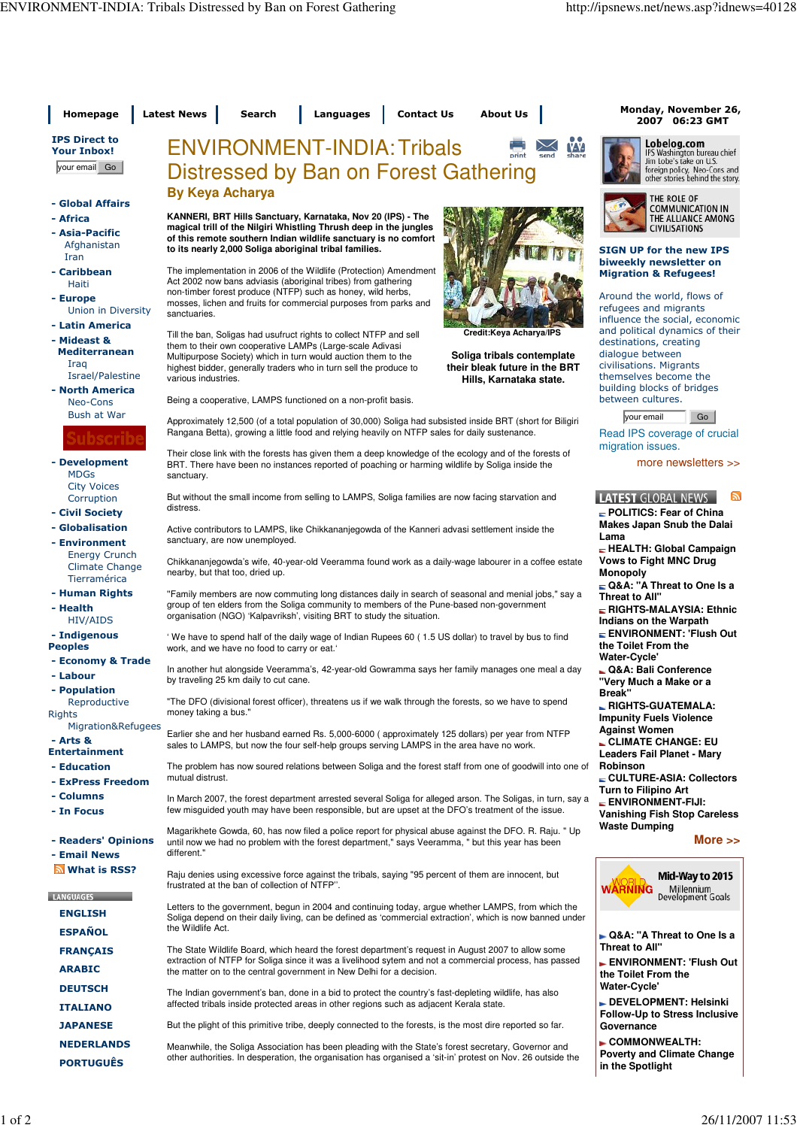| Homepage                                                | <b>Latest News</b><br><b>Contact Us</b><br><b>About Us</b><br>Search<br>Languages                                                                                                                                                                                                                               | Monday, November 26,<br>2007 06:23 GMT                                                                    |
|---------------------------------------------------------|-----------------------------------------------------------------------------------------------------------------------------------------------------------------------------------------------------------------------------------------------------------------------------------------------------------------|-----------------------------------------------------------------------------------------------------------|
| <b>IPS Direct to</b><br><b>Your Inbox!</b>              | <b>ENVIRONMENT-INDIA: Tribals</b>                                                                                                                                                                                                                                                                               | Lobelog.com<br>W<br>IPS Washington bureau chief<br>share                                                  |
| your email Go                                           | Distressed by Ban on Forest Gathering                                                                                                                                                                                                                                                                           | Jim Lobe's take on U.S.<br>foreign policy, Neo-Cons and<br>other stories behind the story.                |
| - Global Affairs                                        | <b>By Keya Acharya</b>                                                                                                                                                                                                                                                                                          | THE ROLE OF                                                                                               |
| - Africa                                                | KANNERI, BRT Hills Sanctuary, Karnataka, Nov 20 (IPS) - The                                                                                                                                                                                                                                                     | <b>COMMUNICATION IN</b><br>THE ALLIANCE AMONG                                                             |
| - Asia-Pacific<br>Afghanistan<br>Iran                   | magical trill of the Nilgiri Whistling Thrush deep in the jungles<br>of this remote southern Indian wildlife sanctuary is no comfort<br>to its nearly 2,000 Soliga aboriginal tribal families.                                                                                                                  | <b>CIVILISATIONS</b><br><b>SIGN UP for the new IPS</b>                                                    |
| - Caribbean<br>Haiti                                    | The implementation in 2006 of the Wildlife (Protection) Amendment<br>Act 2002 now bans adviasis (aboriginal tribes) from gathering                                                                                                                                                                              | biweekly newsletter on<br><b>Migration &amp; Refugees!</b>                                                |
| - Europe<br>Union in Diversity                          | non-timber forest produce (NTFP) such as honey, wild herbs,<br>mosses, lichen and fruits for commercial purposes from parks and<br>sanctuaries.                                                                                                                                                                 | Around the world, flows of<br>refugees and migrants<br>influence the social, economic                     |
| - Latin America<br>- Mideast &                          | Credit:Keya Acharya/IPS<br>Till the ban, Soligas had usufruct rights to collect NTFP and sell                                                                                                                                                                                                                   | and political dynamics of their                                                                           |
| <b>Mediterranean</b><br>Iraq<br>Israel/Palestine        | them to their own cooperative LAMPs (Large-scale Adivasi<br>Soliga tribals contemplate<br>Multipurpose Society) which in turn would auction them to the<br>their bleak future in the BRT<br>highest bidder, generally traders who in turn sell the produce to<br>various industries.<br>Hills, Karnataka state. | destinations, creating<br>dialogue between<br>civilisations. Migrants<br>themselves become the            |
| - North America<br>Neo-Cons                             | Being a cooperative, LAMPS functioned on a non-profit basis.                                                                                                                                                                                                                                                    | building blocks of bridges<br>between cultures.                                                           |
| Bush at War                                             | Approximately 12,500 (of a total population of 30,000) Soliga had subsisted inside BRT (short for Biligiri<br>Rangana Betta), growing a little food and relying heavily on NTFP sales for daily sustenance.                                                                                                     | your email<br>Go<br>Read IPS coverage of crucial                                                          |
| upscrip<br>- Development<br><b>MDGs</b>                 | Their close link with the forests has given them a deep knowledge of the ecology and of the forests of<br>BRT. There have been no instances reported of poaching or harming wildlife by Soliga inside the<br>sanctuary.                                                                                         | migration issues.<br>more newsletters $\gg$                                                               |
| <b>City Voices</b><br>Corruption                        | But without the small income from selling to LAMPS, Soliga families are now facing starvation and                                                                                                                                                                                                               | <b>LATEST GLOBAL NEWS</b><br>E.                                                                           |
| - Civil Society                                         | distress.                                                                                                                                                                                                                                                                                                       | POLITICS: Fear of China                                                                                   |
| - Globalisation                                         | Active contributors to LAMPS, like Chikkananjegowda of the Kanneri advasi settlement inside the                                                                                                                                                                                                                 | <b>Makes Japan Snub the Dalai</b><br>Lama                                                                 |
| - Environment<br><b>Energy Crunch</b><br>Climate Change | sanctuary, are now unemployed.<br>Chikkananjegowda's wife, 40-year-old Veeramma found work as a daily-wage labourer in a coffee estate<br>nearby, but that too, dried up.                                                                                                                                       | HEALTH: Global Campaign<br><b>Vows to Fight MNC Drug</b><br><b>Monopoly</b>                               |
| Tierramérica<br>- Human Rights                          | "Family members are now commuting long distances daily in search of seasonal and menial jobs," say a                                                                                                                                                                                                            | Q&A: "A Threat to One Is a                                                                                |
| - Health<br>HIV/AIDS                                    | group of ten elders from the Soliga community to members of the Pune-based non-government<br>organisation (NGO) 'Kalpavriksh', visiting BRT to study the situation.                                                                                                                                             | Threat to All"<br>RIGHTS-MALAYSIA: Ethnic<br>Indians on the Warpath                                       |
| - Indigenous<br><b>Peoples</b><br>- Economy & Trade     | We have to spend half of the daily wage of Indian Rupees 60 (1.5 US dollar) to travel by bus to find<br>work, and we have no food to carry or eat."                                                                                                                                                             | ENVIRONMENT: 'Flush Out<br>the Toilet From the<br><b>Water-Cycle'</b>                                     |
| - Labour<br>- Population                                | In another hut alongside Veeramma's, 42-year-old Gowramma says her family manages one meal a day<br>by traveling 25 km daily to cut cane.                                                                                                                                                                       | Q&A: Bali Conference<br>"Very Much a Make or a                                                            |
| Reproductive<br>Rights                                  | "The DFO (divisional forest officer), threatens us if we walk through the forests, so we have to spend<br>money taking a bus."                                                                                                                                                                                  | <b>Break"</b><br>_ RIGHTS-GUATEMALA:<br><b>Impunity Fuels Violence</b>                                    |
| Migration&Refugees<br>- Arts &<br><b>Entertainment</b>  | Earlier she and her husband earned Rs. 5,000-6000 (approximately 125 dollars) per year from NTFP<br>sales to LAMPS, but now the four self-help groups serving LAMPS in the area have no work.                                                                                                                   | <b>Against Women</b><br><b>L CLIMATE CHANGE: EU</b><br>Leaders Fail Planet - Mary                         |
| - Education<br>- ExPress Freedom                        | The problem has now soured relations between Soliga and the forest staff from one of goodwill into one of<br>mutual distrust.                                                                                                                                                                                   | Robinson<br>CULTURE-ASIA: Collectors                                                                      |
| - Columns<br>- In Focus                                 | In March 2007, the forest department arrested several Soliga for alleged arson. The Soligas, in turn, say a<br>few misguided youth may have been responsible, but are upset at the DFO's treatment of the issue.                                                                                                | Turn to Filipino Art<br>$\overline{\phantom{a}}$ ENVIRONMENT-FIJI:<br><b>Vanishing Fish Stop Careless</b> |
| - Readers' Opinions<br>- Email News                     | Magarikhete Gowda, 60, has now filed a police report for physical abuse against the DFO. R. Raju. " Up<br>until now we had no problem with the forest department," says Veeramma, " but this year has been<br>different."                                                                                       | <b>Waste Dumping</b><br>More $\gg$                                                                        |
| What is RSS?                                            | Raju denies using excessive force against the tribals, saying "95 percent of them are innocent, but<br>frustrated at the ban of collection of NTFP".                                                                                                                                                            | Mid-Way to 2015<br>WARNING                                                                                |
| <b>LANGUAGES</b>                                        | Letters to the government, begun in 2004 and continuing today, argue whether LAMPS, from which the                                                                                                                                                                                                              | Millennium<br>Development Goals                                                                           |
| <b>ENGLISH</b>                                          | Soliga depend on their daily living, can be defined as 'commercial extraction', which is now banned under<br>the Wildlife Act.                                                                                                                                                                                  |                                                                                                           |
| <b>ESPAÑOL</b>                                          |                                                                                                                                                                                                                                                                                                                 | ► Q&A: "A Threat to One Is a<br>Threat to All"                                                            |
| <b>FRANÇAIS</b><br><b>ARABIC</b>                        | The State Wildlife Board, which heard the forest department's request in August 2007 to allow some<br>extraction of NTFP for Soliga since it was a livelihood sytem and not a commercial process, has passed<br>the matter on to the central government in New Delhi for a decision.                            | ENVIRONMENT: 'Flush Out<br>the Toilet From the                                                            |
| <b>DEUTSCH</b>                                          | The Indian government's ban, done in a bid to protect the country's fast-depleting wildlife, has also                                                                                                                                                                                                           | Water-Cycle'                                                                                              |
| <b>ITALIANO</b>                                         | affected tribals inside protected areas in other regions such as adjacent Kerala state.                                                                                                                                                                                                                         | DEVELOPMENT: Helsinki<br><b>Follow-Up to Stress Inclusive</b>                                             |
| <b>JAPANESE</b>                                         | But the plight of this primitive tribe, deeply connected to the forests, is the most dire reported so far.                                                                                                                                                                                                      | Governance                                                                                                |
| <b>NEDERLANDS</b><br><b>PORTUGUÊS</b>                   | Meanwhile, the Soliga Association has been pleading with the State's forest secretary, Governor and<br>other authorities. In desperation, the organisation has organised a 'sit-in' protest on Nov. 26 outside the                                                                                              | ► COMMONWEALTH:<br><b>Poverty and Climate Change</b><br>in the Spotlight                                  |